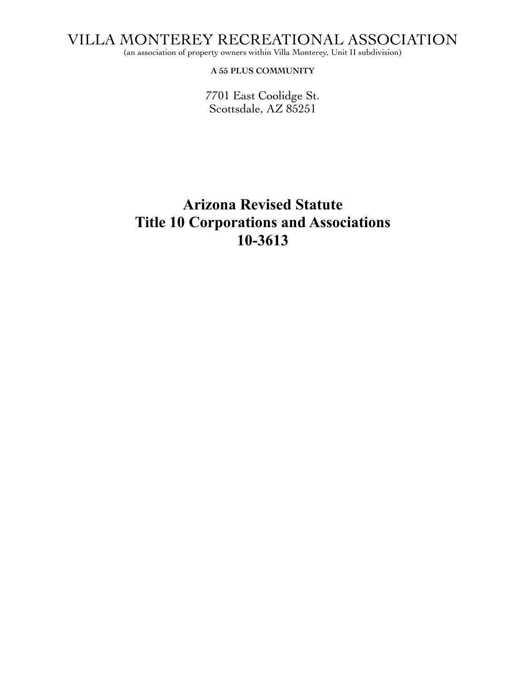VILLA MONTEREY RECREATIONAL ASSOCIATION

(an association of property owners within Villa Monterey, Unit II subdivision)

**A 55 PLUS COMMUNITY**

7701 East Coolidge St. Scottsdale, AZ 85251

## **Arizona Revised Statute Title 10 Corporations and Associations 10-3613**